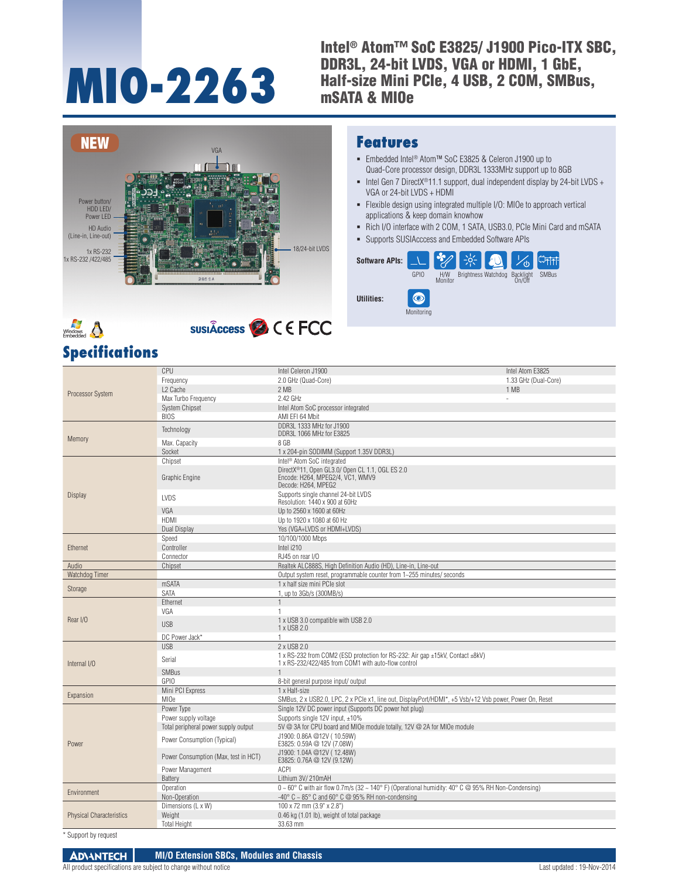# **MIO-2263**

Intel® Atom™ SoC E3825/ J1900 Pico-ITX SBC, DDR3L, 24-bit LVDS, VGA or HDMI, 1 GbE, Half-size Mini PCIe, 4 USB, 2 COM, SMBus, mSATA & MIOe





## **SUSIÂCCESS C C ECC**

#### **Features**

- Embedded Intel® Atom™ SoC E3825 & Celeron J1900 up to Quad-Core processor design, DDR3L 1333MHz support up to 8GB
- Intel Gen 7 DirectX<sup>®</sup>11.1 support, dual independent display by 24-bit LVDS + VGA or 24-bit LVDS + HDMI
- Flexible design using integrated multiple I/O: MIOe to approach vertical applications & keep domain knowhow
- Rich I/O interface with 2 COM, 1 SATA, USB3.0, PCIe Mini Card and mSATA
- Supports SUSIAcccess and Embedded Software APIs



| <b>Specifications</b> |  |
|-----------------------|--|
|-----------------------|--|

|                                 | CPU                                  | Intel Celeron J1900                                                                                                                  | Intel Atom E3825     |
|---------------------------------|--------------------------------------|--------------------------------------------------------------------------------------------------------------------------------------|----------------------|
|                                 | Frequency                            | 2.0 GHz (Quad-Core)                                                                                                                  | 1.33 GHz (Dual-Core) |
|                                 | L <sub>2</sub> Cache                 | 2 MB                                                                                                                                 | 1 MB                 |
| Processor System                | Max Turbo Frequency                  | 2.42 GHz                                                                                                                             |                      |
|                                 | <b>System Chipset</b>                | Intel Atom SoC processor integrated                                                                                                  |                      |
|                                 | <b>BIOS</b>                          | AMI EFI 64 Mbit                                                                                                                      |                      |
|                                 | Technology                           | DDR3L 1333 MHz for J1900<br>DDR3L 1066 MHz for E3825                                                                                 |                      |
| Memory                          | Max. Capacity                        | 8 GB                                                                                                                                 |                      |
|                                 | Socket                               | 1 x 204-pin SODIMM (Support 1.35V DDR3L)                                                                                             |                      |
|                                 | Chipset                              | Intel <sup>®</sup> Atom SoC integrated                                                                                               |                      |
|                                 | Graphic Engine                       | DirectX®11, Open GL3.0/ Open CL 1.1, OGL ES 2.0<br>Encode: H264, MPEG2/4, VC1, WMV9<br>Decode: H264, MPEG2                           |                      |
| Display                         | LVDS                                 | Supports single channel 24-bit LVDS<br>Resolution: 1440 x 900 at 60Hz                                                                |                      |
|                                 | VGA                                  | Up to 2560 x 1600 at 60Hz                                                                                                            |                      |
|                                 | <b>HDMI</b>                          | Up to 1920 x 1080 at 60 Hz                                                                                                           |                      |
|                                 | Dual Display                         | Yes (VGA+LVDS or HDMI+LVDS)                                                                                                          |                      |
|                                 | Speed                                | 10/100/1000 Mbps                                                                                                                     |                      |
| Ethernet                        | Controller                           | Intel i210                                                                                                                           |                      |
|                                 | Connector                            | RJ45 on rear I/O                                                                                                                     |                      |
| Audio                           | Chipset                              | Realtek ALC888S. High Definition Audio (HD). Line-in. Line-out                                                                       |                      |
| Watchdog Timer                  |                                      | Output system reset, programmable counter from 1~255 minutes/ seconds                                                                |                      |
| Storage                         | mSATA                                | 1 x half size mini PCIe slot                                                                                                         |                      |
|                                 | <b>SATA</b>                          | 1, up to 3Gb/s (300MB/s)                                                                                                             |                      |
|                                 | Ethernet                             |                                                                                                                                      |                      |
|                                 | VGA                                  |                                                                                                                                      |                      |
| Rear I/O                        | <b>USB</b>                           | 1 x USB 3.0 compatible with USB 2.0<br>1 x USB 2.0                                                                                   |                      |
|                                 | DC Power Jack*                       | 1.                                                                                                                                   |                      |
|                                 | <b>USB</b>                           | 2 x USB 2.0                                                                                                                          |                      |
| Internal I/O                    | Serial                               | 1 x RS-232 from COM2 (ESD protection for RS-232: Air gap ±15kV, Contact ±8kV)<br>1 x RS-232/422/485 from COM1 with auto-flow control |                      |
|                                 | <b>SMBus</b>                         |                                                                                                                                      |                      |
|                                 | <b>GPIO</b>                          | 8-bit general purpose input/ output                                                                                                  |                      |
| Expansion                       | Mini PCI Express                     | 1 x Half-size                                                                                                                        |                      |
|                                 | MI <sub>Oe</sub>                     | SMBus, 2 x USB2.0, LPC, 2 x PCle x1, line out, DisplayPort/HDMI*, +5 Vsb/+12 Vsb power, Power On, Reset                              |                      |
|                                 | Power Type                           | Single 12V DC power input (Supports DC power hot plug)                                                                               |                      |
| Power                           | Power supply voltage                 | Supports single 12V input, ±10%                                                                                                      |                      |
|                                 | Total peripheral power supply output | 5V @ 3A for CPU board and MIOe module totally, 12V @ 2A for MIOe module                                                              |                      |
|                                 | Power Consumption (Typical)          | J1900: 0.86A @12V (10.59W)<br>E3825: 0.59A @ 12V (7.08W)                                                                             |                      |
|                                 | Power Consumption (Max, test in HCT) | J1900: 1.04A @12V (12.48W)<br>E3825: 0.76A @ 12V (9.12W)                                                                             |                      |
|                                 | Power Management                     | <b>ACPI</b>                                                                                                                          |                      |
|                                 | Battery                              | Lithium 3V/210mAH                                                                                                                    |                      |
| Environment                     | Operation                            | $0 \sim 60^{\circ}$ C with air flow 0.7m/s (32 ~ 140° F) (Operational humidity: 40° C @ 95% RH Non-Condensing)                       |                      |
|                                 | Non-Operation                        | $-40^{\circ}$ C $\sim$ 85 $^{\circ}$ C and 60 $^{\circ}$ C @ 95% RH non-condensing                                                   |                      |
|                                 | Dimensions (L x W)                   | 100 x 72 mm (3.9" x 2.8")                                                                                                            |                      |
| <b>Physical Characteristics</b> | Weight                               | 0.46 kg (1.01 lb), weight of total package                                                                                           |                      |
|                                 | <b>Total Height</b>                  | 33.63 mm                                                                                                                             |                      |

\* Support by request

**ADVANTECH MI/O Extension SBCs, Modules and Chassis** All product specifications are subject to change without notice  $\blacksquare$